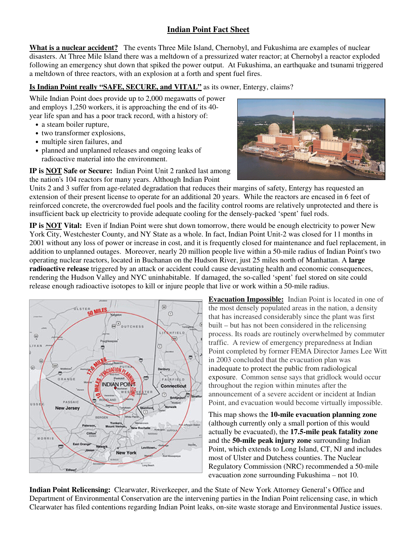## **Indian Point Fact Sheet**

**What is a nuclear accident?** The events Three Mile Island, Chernobyl, and Fukushima are examples of nuclear disasters. At Three Mile Island there was a meltdown of a pressurized water reactor; at Chernobyl a reactor exploded following an emergency shut down that spiked the power output. At Fukushima, an earthquake and tsunami triggered a meltdown of three reactors, with an explosion at a forth and spent fuel fires.

## **Is Indian Point really "SAFE, SECURE, and VITAL"** as its owner, Entergy, claims?

While Indian Point does provide up to 2,000 megawatts of power and employs 1,250 workers, it is approaching the end of its 40 year life span and has a poor track record, with a history of:

- a steam boiler rupture,
- two transformer explosions,
- multiple siren failures, and
- planned and unplanned releases and ongoing leaks of radioactive material into the environment.

**IP is NOT Safe or Secure:** Indian Point Unit 2 ranked last among the nation's 104 reactors for many years. Although Indian Point



Units 2 and 3 suffer from age-related degradation that reduces their margins of safety, Entergy has requested an extension of their present license to operate for an additional 20 years. While the reactors are encased in 6 feet of reinforced concrete, the overcrowded fuel pools and the facility control rooms are relatively unprotected and there is insufficient back up electricity to provide adequate cooling for the densely-packed 'spent' fuel rods.

**IP is NOT Vital:** Even if Indian Point were shut down tomorrow, there would be enough electricity to power New York City, Westchester County, and NY State as a whole. In fact, Indian Point Unit-2 was closed for 11 months in 2001 without any loss of power or increase in cost, and it is frequently closed for maintenance and fuel replacement, in addition to unplanned outages. Moreover, nearly 20 million people live within a 50-mile radius of Indian Point's two operating nuclear reactors, located in Buchanan on the Hudson River, just 25 miles north of Manhattan. A **large radioactive release** triggered by an attack or accident could cause devastating health and economic consequences, rendering the Hudson Valley and NYC uninhabitable. If damaged, the so-called 'spent' fuel stored on site could release enough radioactive isotopes to kill or injure people that live or work within a 50-mile radius.



**Evacuation Impossible:** Indian Point is located in one of the most densely populated areas in the nation, a density that has increased considerably since the plant was first built – but has not been considered in the relicensing process. Its roads are routinely overwhelmed by commuter traffic. A review of emergency preparedness at Indian Point completed by former FEMA Director James Lee Witt in 2003 concluded that the evacuation plan was inadequate to protect the public from radiological exposure. Common sense says that gridlock would occur throughout the region within minutes after the announcement of a severe accident or incident at Indian Point, and evacuation would become virtually impossible.

This map shows the **10-mile evacuation planning zone** (although currently only a small portion of this would actually be evacuated), the **17.5-mile peak fatality zone**  and the **50-mile peak injury zone** surrounding Indian Point, which extends to Long Island, CT, NJ and includes most of Ulster and Dutchess counties. The Nuclear Regulatory Commission (NRC) recommended a 50-mile evacuation zone surrounding Fukushima – not 10.

**Indian Point Relicensing:** Clearwater, Riverkeeper, and the State of New York Attorney General's Office and Department of Environmental Conservation are the intervening parties in the Indian Point relicensing case, in which Clearwater has filed contentions regarding Indian Point leaks, on-site waste storage and Environmental Justice issues.